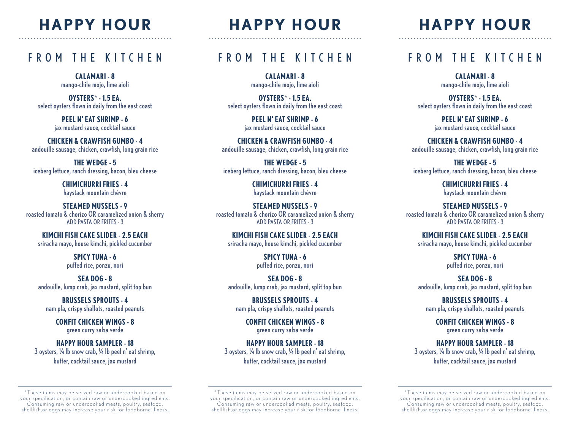# **HAPPY HOUR** - - --------------------------------------------------

# FROM THE KITCHEN

**CALAMARI - 8** mango-chile mojo, lime aioli

**OYSTERS**\* **- 1.5 EA.** select oysters flown in daily from the east coast

> **PEEL N' EAT SHRIMP - 6** jax mustard sauce, cocktail sauce

**CHICKEN & CRAWFISH GUMBO - 4** andouille sausage, chicken, crawfish, long grain rice

**THE WEDGE - 5** iceberg lettuce, ranch dressing, bacon, bleu cheese

> **CHIMICHURRI FRIES - 4** haystack mountain chévre

**STEAMED MUSSELS - 9** roasted tomato & chorizo OR caramelized onion & sherry ADD PASTA OR FRITES - 3

**KIMCHI FISH CAKE SLIDER - 2.5 EACH** sriracha mayo, house kimchi, pickled cucumber

> **SPICY TUNA - 6** puffed rice, ponzu, nori

**SEA DOG - 8** andouille, lump crab, jax mustard, split top bun

**BRUSSELS SPROUTS - 4** nam pla, crispy shallots, roasted peanuts

**CONFIT CHICKEN WINGS - 8** green curry salsa verde

#### **HAPPY HOUR SAMPLER - 18**

3 oysters, ¼ lb snow crab, ¼ lb peel n' eat shrimp, butter, cocktail sauce, jax mustard

\*These items may be ser ved raw or undercooked based on your specification, or contain raw or undercooked ingredients. Consuming raw or undercooked meats, poultry, seafood, shellfish,or eggs may increase your risk for foodborne illness.